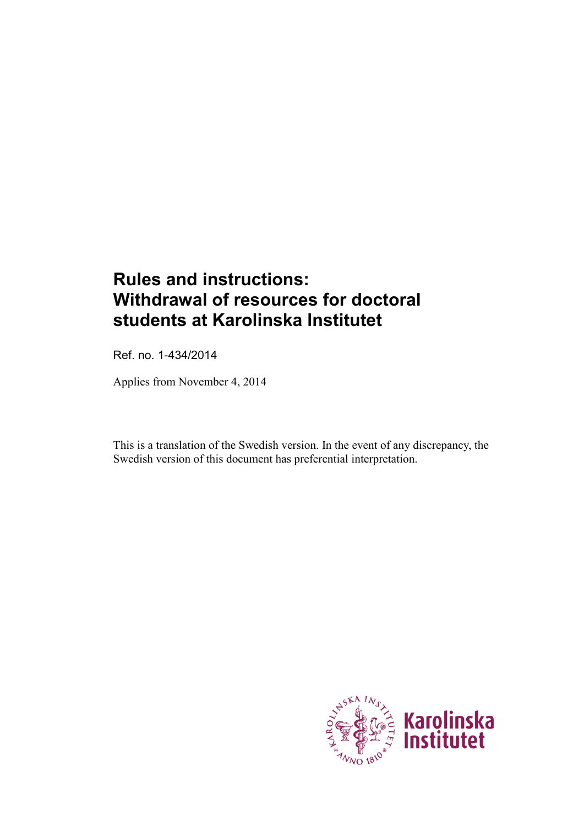# **Rules and instructions: Withdrawal of resources for doctoral students at Karolinska Institutet**

Ref. no. 1-434/2014

Applies from November 4, 2014

This is a translation of the Swedish version. In the event of any discrepancy, the Swedish version of this document has preferential interpretation.

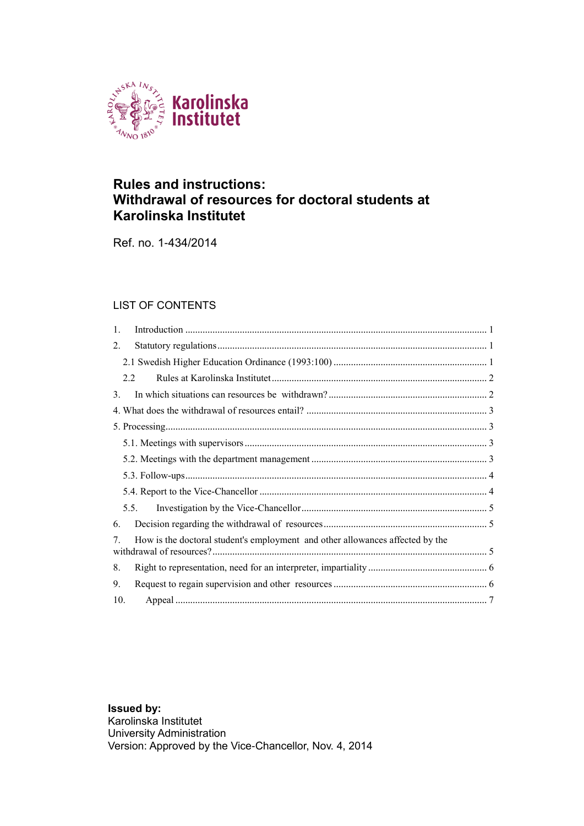

#### **Rules and instructions: Withdrawal of resources for doctoral students at Karolinska Institutet**

Ref. no. 1-434/2014

#### LIST OF CONTENTS

| $\mathbf{1}$ .                                                                     |  |
|------------------------------------------------------------------------------------|--|
| $\overline{2}$ .                                                                   |  |
|                                                                                    |  |
| 22                                                                                 |  |
| 3 <sub>1</sub>                                                                     |  |
|                                                                                    |  |
|                                                                                    |  |
|                                                                                    |  |
|                                                                                    |  |
|                                                                                    |  |
|                                                                                    |  |
| 5.5.                                                                               |  |
| 6.                                                                                 |  |
| How is the doctoral student's employment and other allowances affected by the<br>7 |  |
| 8.                                                                                 |  |
| 9.                                                                                 |  |
| 10.                                                                                |  |

**Issued by:** Karolinska Institutet University Administration Version: Approved by the Vice-Chancellor, Nov. 4, 2014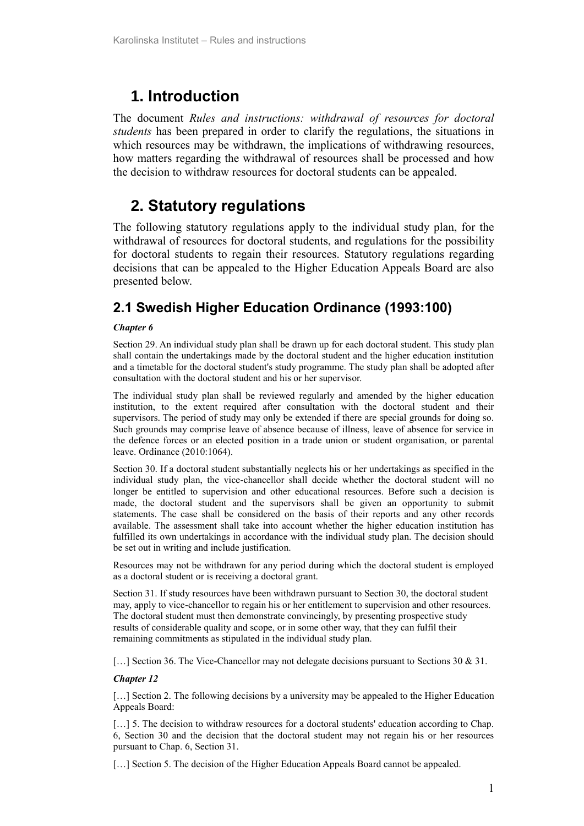## <span id="page-2-0"></span>**1. Introduction**

The document *Rules and instructions: withdrawal of resources for doctoral students* has been prepared in order to clarify the regulations, the situations in which resources may be withdrawn, the implications of withdrawing resources, how matters regarding the withdrawal of resources shall be processed and how the decision to withdraw resources for doctoral students can be appealed.

# <span id="page-2-1"></span>**2. Statutory regulations**

The following statutory regulations apply to the individual study plan, for the withdrawal of resources for doctoral students, and regulations for the possibility for doctoral students to regain their resources. Statutory regulations regarding decisions that can be appealed to the Higher Education Appeals Board are also presented below.

### <span id="page-2-2"></span>**2.1 Swedish Higher Education Ordinance (1993:100)**

#### *Chapter 6*

Section 29. An individual study plan shall be drawn up for each doctoral student. This study plan shall contain the undertakings made by the doctoral student and the higher education institution and a timetable for the doctoral student's study programme. The study plan shall be adopted after consultation with the doctoral student and his or her supervisor.

The individual study plan shall be reviewed regularly and amended by the higher education institution, to the extent required after consultation with the doctoral student and their supervisors. The period of study may only be extended if there are special grounds for doing so. Such grounds may comprise leave of absence because of illness, leave of absence for service in the defence forces or an elected position in a trade union or student organisation, or parental leave. Ordinance (2010:1064).

Section 30. If a doctoral student substantially neglects his or her undertakings as specified in the individual study plan, the vice-chancellor shall decide whether the doctoral student will no longer be entitled to supervision and other educational resources. Before such a decision is made, the doctoral student and the supervisors shall be given an opportunity to submit statements. The case shall be considered on the basis of their reports and any other records available. The assessment shall take into account whether the higher education institution has fulfilled its own undertakings in accordance with the individual study plan. The decision should be set out in writing and include justification.

Resources may not be withdrawn for any period during which the doctoral student is employed as a doctoral student or is receiving a doctoral grant.

Section 31. If study resources have been withdrawn pursuant to Section 30, the doctoral student may, apply to vice-chancellor to regain his or her entitlement to supervision and other resources. The doctoral student must then demonstrate convincingly, by presenting prospective study results of considerable quality and scope, or in some other way, that they can fulfil their remaining commitments as stipulated in the individual study plan.

[...] Section 36. The Vice-Chancellor may not delegate decisions pursuant to Sections 30 & 31.

#### *Chapter 12*

[...] Section 2. The following decisions by a university may be appealed to the Higher Education Appeals Board:

[...] 5. The decision to withdraw resources for a doctoral students' education according to Chap. 6, Section 30 and the decision that the doctoral student may not regain his or her resources pursuant to Chap. 6, Section 31.

[...] Section 5. The decision of the Higher Education Appeals Board cannot be appealed.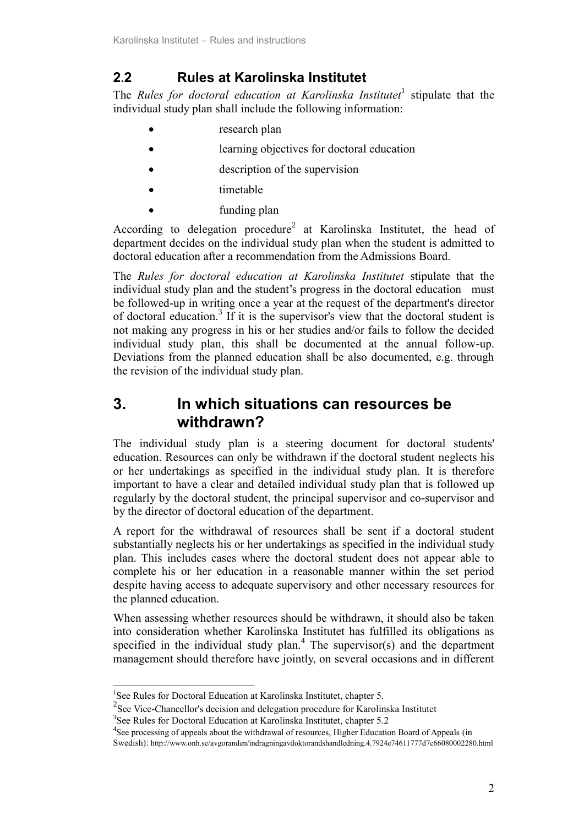### <span id="page-3-0"></span>**2.2 Rules at Karolinska Institutet**

The *Rules for doctoral education at Karolinska Institutet*<sup>1</sup> stipulate that the individual study plan shall include the following information:

- research plan
- learning objectives for doctoral education
- description of the supervision
- timetable
- funding plan

According to delegation procedure<sup>2</sup> at Karolinska Institutet, the head of department decides on the individual study plan when the student is admitted to doctoral education after a recommendation from the Admissions Board.

The *Rules for doctoral education at Karolinska Institutet* stipulate that the individual study plan and the student's progress in the doctoral education must be followed-up in writing once a year at the request of the department's director of doctoral education. 3 If it is the supervisor's view that the doctoral student is not making any progress in his or her studies and/or fails to follow the decided individual study plan, this shall be documented at the annual follow-up. Deviations from the planned education shall be also documented, e.g. through the revision of the individual study plan.

### <span id="page-3-1"></span>**3. In which situations can resources be withdrawn?**

The individual study plan is a steering document for doctoral students' education. Resources can only be withdrawn if the doctoral student neglects his or her undertakings as specified in the individual study plan. It is therefore important to have a clear and detailed individual study plan that is followed up regularly by the doctoral student, the principal supervisor and co-supervisor and by the director of doctoral education of the department.

A report for the withdrawal of resources shall be sent if a doctoral student substantially neglects his or her undertakings as specified in the individual study plan. This includes cases where the doctoral student does not appear able to complete his or her education in a reasonable manner within the set period despite having access to adequate supervisory and other necessary resources for the planned education.

When assessing whether resources should be withdrawn, it should also be taken into consideration whether Karolinska Institutet has fulfilled its obligations as specified in the individual study  $plan<sup>4</sup>$ . The supervisor(s) and the department management should therefore have jointly, on several occasions and in different

1

<sup>&</sup>lt;sup>1</sup>See Rules for Doctoral Education at Karolinska Institutet, chapter 5.

<sup>&</sup>lt;sup>2</sup> See Vice-Chancellor's decision and delegation procedure for Karolinska Institutet

<sup>3</sup> See Rules for Doctoral Education at Karolinska Institutet, chapter 5.2

<sup>&</sup>lt;sup>4</sup>See processing of appeals about the withdrawal of resources, Higher Education Board of Appeals (in Swedish): <http://www.onh.se/avgoranden/indragningavdoktorandshandledning.4.7924e74611777d7c66080002280.html>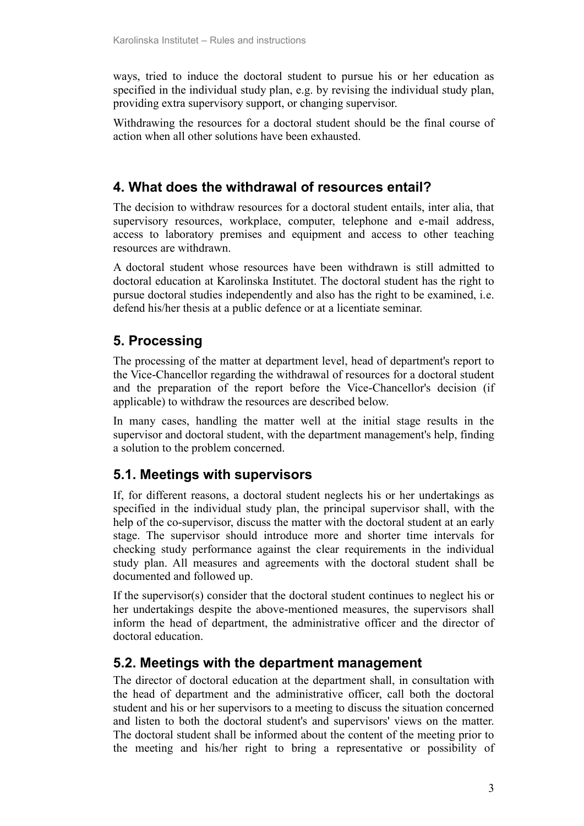ways, tried to induce the doctoral student to pursue his or her education as specified in the individual study plan, e.g. by revising the individual study plan, providing extra supervisory support, or changing supervisor.

Withdrawing the resources for a doctoral student should be the final course of action when all other solutions have been exhausted.

### <span id="page-4-0"></span>**4. What does the withdrawal of resources entail?**

The decision to withdraw resources for a doctoral student entails, inter alia, that supervisory resources, workplace, computer, telephone and e-mail address, access to laboratory premises and equipment and access to other teaching resources are withdrawn.

A doctoral student whose resources have been withdrawn is still admitted to doctoral education at Karolinska Institutet. The doctoral student has the right to pursue doctoral studies independently and also has the right to be examined, i.e. defend his/her thesis at a public defence or at a licentiate seminar.

### <span id="page-4-1"></span>**5. Processing**

The processing of the matter at department level, head of department's report to the Vice-Chancellor regarding the withdrawal of resources for a doctoral student and the preparation of the report before the Vice-Chancellor's decision (if applicable) to withdraw the resources are described below.

In many cases, handling the matter well at the initial stage results in the supervisor and doctoral student, with the department management's help, finding a solution to the problem concerned.

### <span id="page-4-2"></span>**5.1. Meetings with supervisors**

If, for different reasons, a doctoral student neglects his or her undertakings as specified in the individual study plan, the principal supervisor shall, with the help of the co-supervisor, discuss the matter with the doctoral student at an early stage. The supervisor should introduce more and shorter time intervals for checking study performance against the clear requirements in the individual study plan. All measures and agreements with the doctoral student shall be documented and followed up.

If the supervisor(s) consider that the doctoral student continues to neglect his or her undertakings despite the above-mentioned measures, the supervisors shall inform the head of department, the administrative officer and the director of doctoral education.

### <span id="page-4-3"></span>**5.2. Meetings with the department management**

The director of doctoral education at the department shall, in consultation with the head of department and the administrative officer, call both the doctoral student and his or her supervisors to a meeting to discuss the situation concerned and listen to both the doctoral student's and supervisors' views on the matter. The doctoral student shall be informed about the content of the meeting prior to the meeting and his/her right to bring a representative or possibility of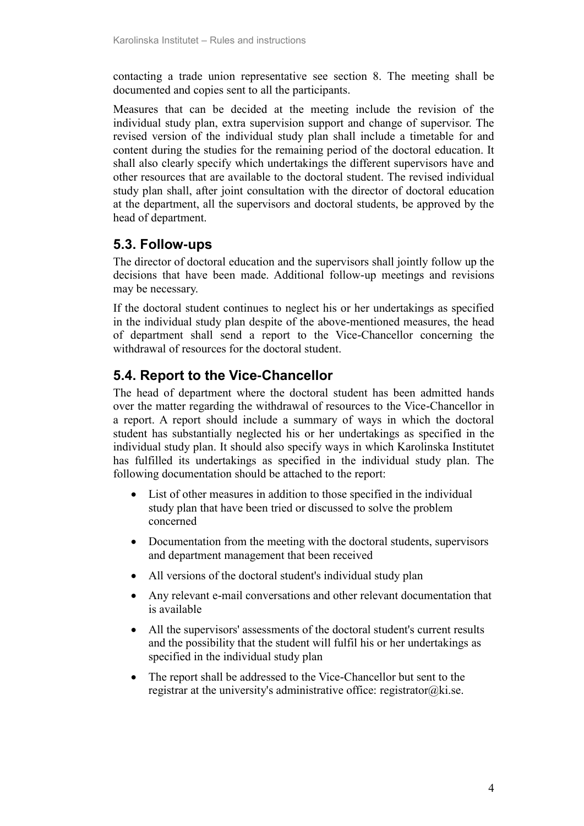contacting a trade union representative see section 8. The meeting shall be documented and copies sent to all the participants.

Measures that can be decided at the meeting include the revision of the individual study plan, extra supervision support and change of supervisor. The revised version of the individual study plan shall include a timetable for and content during the studies for the remaining period of the doctoral education. It shall also clearly specify which undertakings the different supervisors have and other resources that are available to the doctoral student. The revised individual study plan shall, after joint consultation with the director of doctoral education at the department, all the supervisors and doctoral students, be approved by the head of department.

#### <span id="page-5-0"></span>**5.3. Follow-ups**

The director of doctoral education and the supervisors shall jointly follow up the decisions that have been made. Additional follow-up meetings and revisions may be necessary.

If the doctoral student continues to neglect his or her undertakings as specified in the individual study plan despite of the above-mentioned measures, the head of department shall send a report to the Vice-Chancellor concerning the withdrawal of resources for the doctoral student.

### <span id="page-5-1"></span>**5.4. Report to the Vice-Chancellor**

The head of department where the doctoral student has been admitted hands over the matter regarding the withdrawal of resources to the Vice-Chancellor in a report. A report should include a summary of ways in which the doctoral student has substantially neglected his or her undertakings as specified in the individual study plan. It should also specify ways in which Karolinska Institutet has fulfilled its undertakings as specified in the individual study plan. The following documentation should be attached to the report:

- List of other measures in addition to those specified in the individual study plan that have been tried or discussed to solve the problem concerned
- Documentation from the meeting with the doctoral students, supervisors and department management that been received
- All versions of the doctoral student's individual study plan
- Any relevant e-mail conversations and other relevant documentation that is available
- All the supervisors' assessments of the doctoral student's current results and the possibility that the student will fulfil his or her undertakings as specified in the individual study plan
- The report shall be addressed to the Vice-Chancellor but sent to the registrar at the university's administrative office: registrator $@$ ki.se.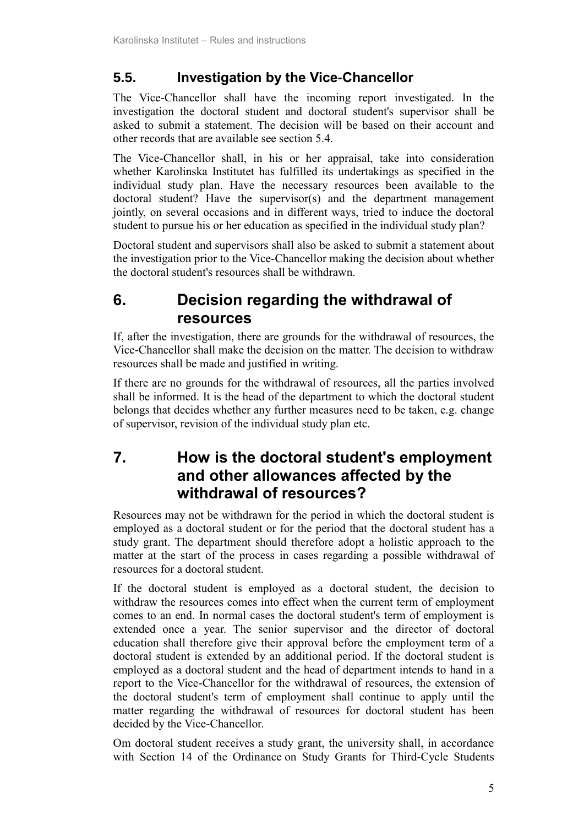### <span id="page-6-0"></span>**5.5. Investigation by the Vice-Chancellor**

The Vice-Chancellor shall have the incoming report investigated. In the investigation the doctoral student and doctoral student's supervisor shall be asked to submit a statement. The decision will be based on their account and other records that are available see section 5.4.

The Vice-Chancellor shall, in his or her appraisal, take into consideration whether Karolinska Institutet has fulfilled its undertakings as specified in the individual study plan. Have the necessary resources been available to the doctoral student? Have the supervisor(s) and the department management jointly, on several occasions and in different ways, tried to induce the doctoral student to pursue his or her education as specified in the individual study plan?

Doctoral student and supervisors shall also be asked to submit a statement about the investigation prior to the Vice-Chancellor making the decision about whether the doctoral student's resources shall be withdrawn.

# <span id="page-6-1"></span>**6. Decision regarding the withdrawal of resources**

If, after the investigation, there are grounds for the withdrawal of resources, the Vice-Chancellor shall make the decision on the matter. The decision to withdraw resources shall be made and justified in writing.

If there are no grounds for the withdrawal of resources, all the parties involved shall be informed. It is the head of the department to which the doctoral student belongs that decides whether any further measures need to be taken, e.g. change of supervisor, revision of the individual study plan etc.

# <span id="page-6-2"></span>**7. How is the doctoral student's employment and other allowances affected by the withdrawal of resources?**

Resources may not be withdrawn for the period in which the doctoral student is employed as a doctoral student or for the period that the doctoral student has a study grant. The department should therefore adopt a holistic approach to the matter at the start of the process in cases regarding a possible withdrawal of resources for a doctoral student.

If the doctoral student is employed as a doctoral student, the decision to withdraw the resources comes into effect when the current term of employment comes to an end. In normal cases the doctoral student's term of employment is extended once a year. The senior supervisor and the director of doctoral education shall therefore give their approval before the employment term of a doctoral student is extended by an additional period. If the doctoral student is employed as a doctoral student and the head of department intends to hand in a report to the Vice-Chancellor for the withdrawal of resources, the extension of the doctoral student's term of employment shall continue to apply until the matter regarding the withdrawal of resources for doctoral student has been decided by the Vice-Chancellor.

Om doctoral student receives a study grant, the university shall, in accordance with Section 14 of the Ordinance on Study Grants for Third-Cycle Students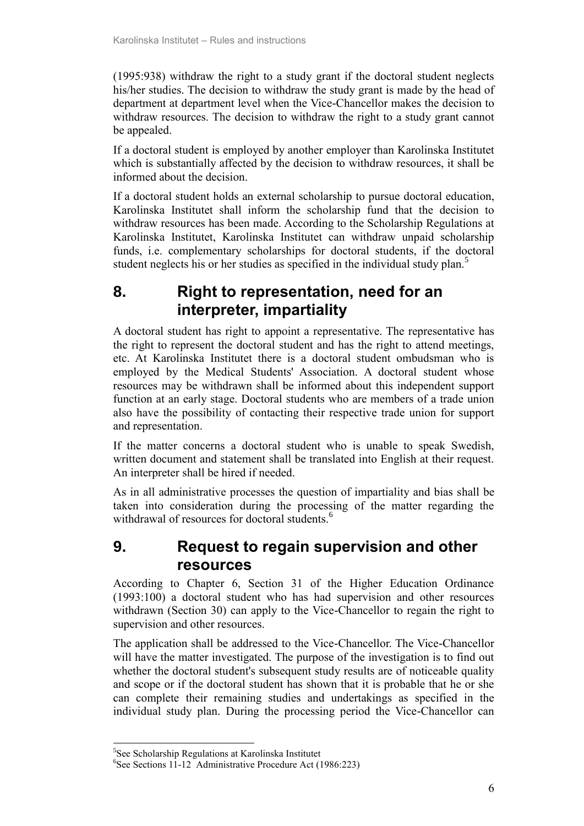(1995:938) withdraw the right to a study grant if the doctoral student neglects his/her studies. The decision to withdraw the study grant is made by the head of department at department level when the Vice-Chancellor makes the decision to withdraw resources. The decision to withdraw the right to a study grant cannot be appealed.

If a doctoral student is employed by another employer than Karolinska Institutet which is substantially affected by the decision to withdraw resources, it shall be informed about the decision.

If a doctoral student holds an external scholarship to pursue doctoral education, Karolinska Institutet shall inform the scholarship fund that the decision to withdraw resources has been made. According to the Scholarship Regulations at Karolinska Institutet, Karolinska Institutet can withdraw unpaid scholarship funds, i.e. complementary scholarships for doctoral students, if the doctoral student neglects his or her studies as specified in the individual study plan.<sup>5</sup>

## <span id="page-7-0"></span>**8. Right to representation, need for an interpreter, impartiality**

A doctoral student has right to appoint a representative. The representative has the right to represent the doctoral student and has the right to attend meetings, etc. At Karolinska Institutet there is a doctoral student ombudsman who is employed by the Medical Students' Association. A doctoral student whose resources may be withdrawn shall be informed about this independent support function at an early stage. Doctoral students who are members of a trade union also have the possibility of contacting their respective trade union for support and representation.

If the matter concerns a doctoral student who is unable to speak Swedish, written document and statement shall be translated into English at their request. An interpreter shall be hired if needed.

As in all administrative processes the question of impartiality and bias shall be taken into consideration during the processing of the matter regarding the withdrawal of resources for doctoral students<sup>6</sup>

### <span id="page-7-1"></span>**9. Request to regain supervision and other resources**

According to Chapter 6, Section 31 of the Higher Education Ordinance (1993:100) a doctoral student who has had supervision and other resources withdrawn (Section 30) can apply to the Vice-Chancellor to regain the right to supervision and other resources.

The application shall be addressed to the Vice-Chancellor. The Vice-Chancellor will have the matter investigated. The purpose of the investigation is to find out whether the doctoral student's subsequent study results are of noticeable quality and scope or if the doctoral student has shown that it is probable that he or she can complete their remaining studies and undertakings as specified in the individual study plan. During the processing period the Vice-Chancellor can

-

<sup>5</sup> See Scholarship Regulations at Karolinska Institutet

<sup>6</sup> See Sections 11-12 Administrative Procedure Act (1986:223)